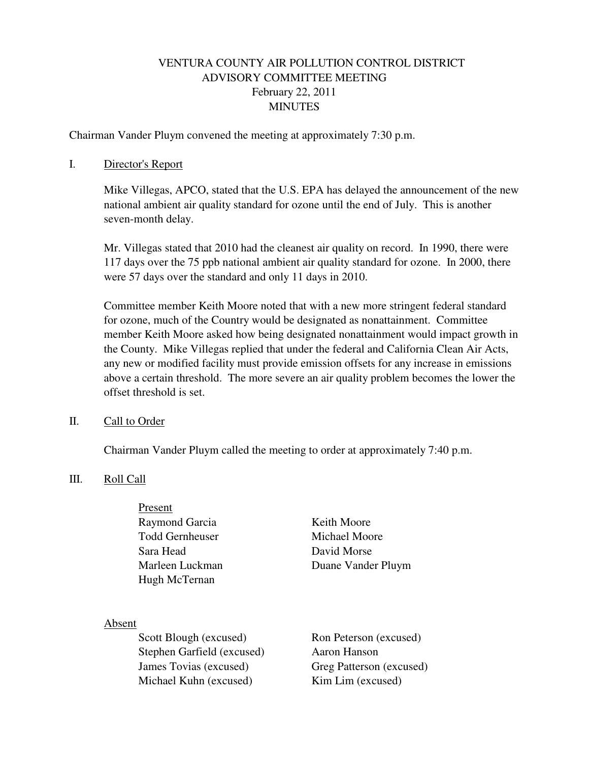# VENTURA COUNTY AIR POLLUTION CONTROL DISTRICT ADVISORY COMMITTEE MEETING February 22, 2011 MINUTES

Chairman Vander Pluym convened the meeting at approximately 7:30 p.m.

### I. Director's Report

Mike Villegas, APCO, stated that the U.S. EPA has delayed the announcement of the new national ambient air quality standard for ozone until the end of July. This is another seven-month delay.

Mr. Villegas stated that 2010 had the cleanest air quality on record. In 1990, there were 117 days over the 75 ppb national ambient air quality standard for ozone. In 2000, there were 57 days over the standard and only 11 days in 2010.

Committee member Keith Moore noted that with a new more stringent federal standard for ozone, much of the Country would be designated as nonattainment. Committee member Keith Moore asked how being designated nonattainment would impact growth in the County. Mike Villegas replied that under the federal and California Clean Air Acts, any new or modified facility must provide emission offsets for any increase in emissions above a certain threshold. The more severe an air quality problem becomes the lower the offset threshold is set.

#### II. Call to Order

Chairman Vander Pluym called the meeting to order at approximately 7:40 p.m.

### III. Roll Call

 Present Raymond Garcia Keith Moore Todd Gernheuser Michael Moore Sara Head David Morse Hugh McTernan

Marleen Luckman Duane Vander Pluym

#### Absent

Scott Blough (excused) Ron Peterson (excused) Stephen Garfield (excused) Aaron Hanson James Tovias (excused) Greg Patterson (excused) Michael Kuhn (excused) Kim Lim (excused)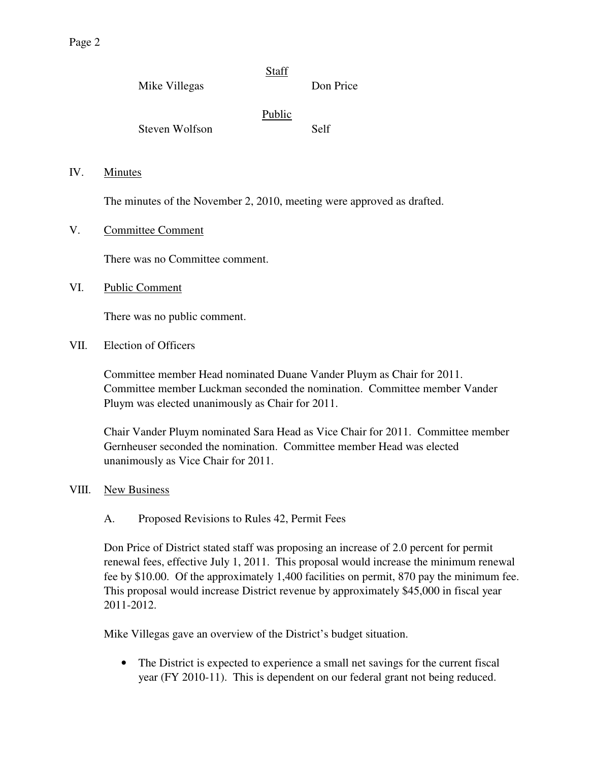Page 2

 $IV.$ 

 $VI.$ 

 $VII.$ 

|      | Mike Villegas                   | <b>Staff</b>                                                           | Don Price |  |
|------|---------------------------------|------------------------------------------------------------------------|-----------|--|
|      | <b>Steven Wolfson</b>           | Public                                                                 | Self      |  |
| IV.  | <b>Minutes</b>                  |                                                                        |           |  |
|      |                                 | The minutes of the November 2, 2010, meeting were approved as drafted. |           |  |
| V.   | <b>Committee Comment</b>        |                                                                        |           |  |
|      | There was no Committee comment. |                                                                        |           |  |
| VI.  | <b>Public Comment</b>           |                                                                        |           |  |
|      | There was no public comment.    |                                                                        |           |  |
| VII. | <b>Election of Officers</b>     |                                                                        |           |  |
|      |                                 |                                                                        |           |  |

Committee member Head nominated Duane Vander Pluym as Chair for 2011. Committee member Luckman seconded the nomination. Committee member Vander Pluym was elected unanimously as Chair for 2011.

Chair Vander Pluym nominated Sara Head as Vice Chair for 2011. Committee member Gernheuser seconded the nomination. Committee member Head was elected unanimously as Vice Chair for 2011.

## VIII. New Business

## A. Proposed Revisions to Rules 42, Permit Fees

Don Price of District stated staff was proposing an increase of 2.0 percent for permit renewal fees, effective July 1, 2011. This proposal would increase the minimum renewal fee by \$10.00. Of the approximately 1,400 facilities on permit, 870 pay the minimum fee. This proposal would increase District revenue by approximately \$45,000 in fiscal year 2011-2012.

Mike Villegas gave an overview of the District's budget situation.

• The District is expected to experience a small net savings for the current fiscal year (FY 2010-11). This is dependent on our federal grant not being reduced.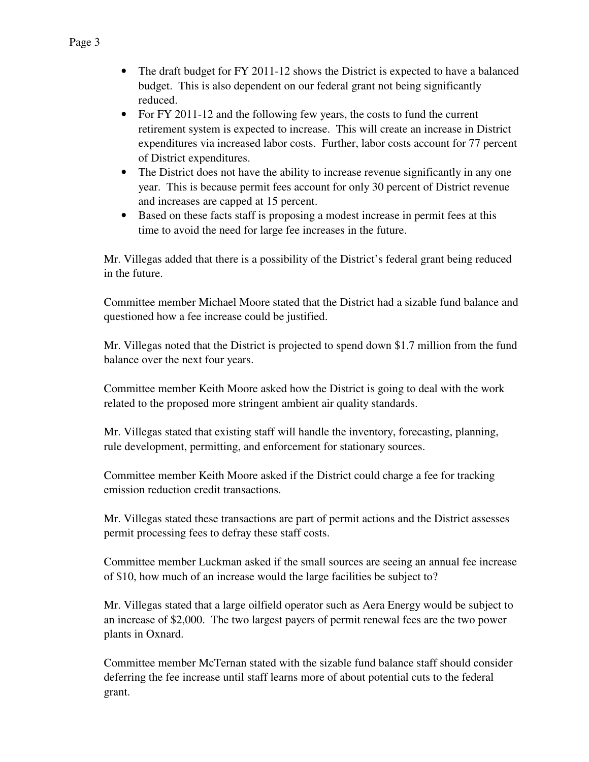- The draft budget for FY 2011-12 shows the District is expected to have a balanced budget. This is also dependent on our federal grant not being significantly reduced.
- For FY 2011-12 and the following few years, the costs to fund the current retirement system is expected to increase. This will create an increase in District expenditures via increased labor costs. Further, labor costs account for 77 percent of District expenditures.
- The District does not have the ability to increase revenue significantly in any one year. This is because permit fees account for only 30 percent of District revenue and increases are capped at 15 percent.
- Based on these facts staff is proposing a modest increase in permit fees at this time to avoid the need for large fee increases in the future.

Mr. Villegas added that there is a possibility of the District's federal grant being reduced in the future.

Committee member Michael Moore stated that the District had a sizable fund balance and questioned how a fee increase could be justified.

Mr. Villegas noted that the District is projected to spend down \$1.7 million from the fund balance over the next four years.

Committee member Keith Moore asked how the District is going to deal with the work related to the proposed more stringent ambient air quality standards.

Mr. Villegas stated that existing staff will handle the inventory, forecasting, planning, rule development, permitting, and enforcement for stationary sources.

Committee member Keith Moore asked if the District could charge a fee for tracking emission reduction credit transactions.

Mr. Villegas stated these transactions are part of permit actions and the District assesses permit processing fees to defray these staff costs.

Committee member Luckman asked if the small sources are seeing an annual fee increase of \$10, how much of an increase would the large facilities be subject to?

Mr. Villegas stated that a large oilfield operator such as Aera Energy would be subject to an increase of \$2,000. The two largest payers of permit renewal fees are the two power plants in Oxnard.

Committee member McTernan stated with the sizable fund balance staff should consider deferring the fee increase until staff learns more of about potential cuts to the federal grant.